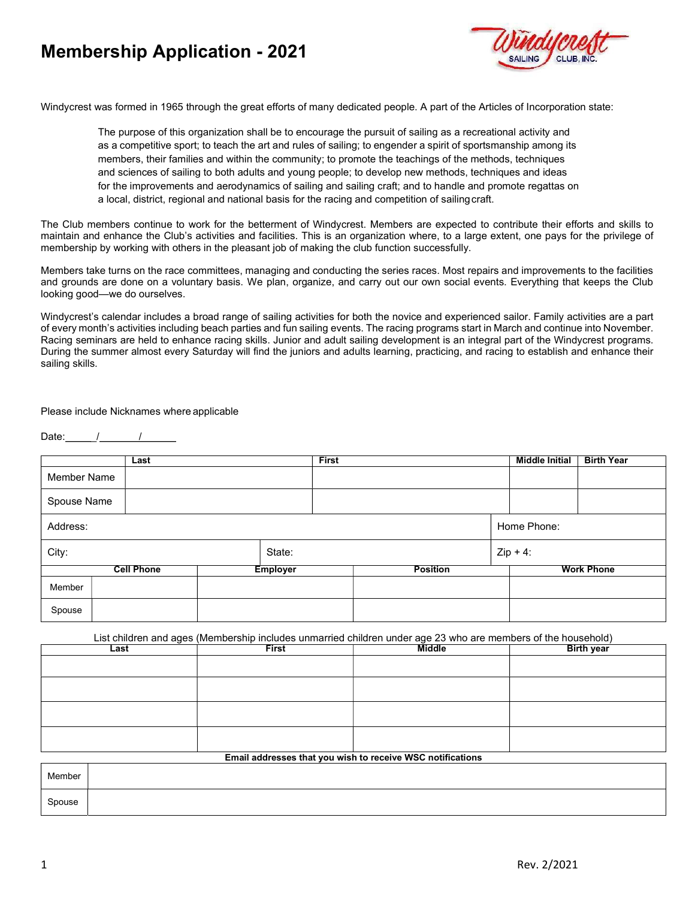# Membership Application - 2021



Windycrest was formed in 1965 through the great efforts of many dedicated people. A part of the Articles of Incorporation state:

The purpose of this organization shall be to encourage the pursuit of sailing as a recreational activity and as a competitive sport; to teach the art and rules of sailing; to engender a spirit of sportsmanship among its members, their families and within the community; to promote the teachings of the methods, techniques and sciences of sailing to both adults and young people; to develop new methods, techniques and ideas for the improvements and aerodynamics of sailing and sailing craft; and to handle and promote regattas on a local, district, regional and national basis for the racing and competition of sailing craft.

The Club members continue to work for the betterment of Windycrest. Members are expected to contribute their efforts and skills to maintain and enhance the Club's activities and facilities. This is an organization where, to a large extent, one pays for the privilege of membership by working with others in the pleasant job of making the club function successfully.

Members take turns on the race committees, managing and conducting the series races. Most repairs and improvements to the facilities and grounds are done on a voluntary basis. We plan, organize, and carry out our own social events. Everything that keeps the Club looking good—we do ourselves.

Windycrest's calendar includes a broad range of sailing activities for both the novice and experienced sailor. Family activities are a part of every month's activities including beach parties and fun sailing events. The racing programs start in March and continue into November. Racing seminars are held to enhance racing skills. Junior and adult sailing development is an integral part of the Windycrest programs. During the summer almost every Saturday will find the juniors and adults learning, practicing, and racing to establish and enhance their sailing skills.

Please include Nicknames where applicable

Date:  $/$  / /

|                   | Last        |                                    |  | <b>First</b> |                   | <b>Middle Initial</b> | <b>Birth Year</b> |
|-------------------|-------------|------------------------------------|--|--------------|-------------------|-----------------------|-------------------|
| Member Name       |             |                                    |  |              |                   |                       |                   |
|                   | Spouse Name |                                    |  |              |                   |                       |                   |
| Address:          |             |                                    |  |              | Home Phone:       |                       |                   |
| City:<br>State:   |             |                                    |  | $Zip + 4:$   |                   |                       |                   |
| <b>Cell Phone</b> |             | <b>Position</b><br><b>Employer</b> |  |              | <b>Work Phone</b> |                       |                   |
| Member            |             |                                    |  |              |                   |                       |                   |
| Spouse            |             |                                    |  |              |                   |                       |                   |

List children and ages (Membership includes unmarried children under age 23 who are members of the household)

| Last                                                       | <b>First</b> | <b>Middle</b> | <b>Birth year</b> |  |  |  |  |
|------------------------------------------------------------|--------------|---------------|-------------------|--|--|--|--|
|                                                            |              |               |                   |  |  |  |  |
|                                                            |              |               |                   |  |  |  |  |
|                                                            |              |               |                   |  |  |  |  |
|                                                            |              |               |                   |  |  |  |  |
|                                                            |              |               |                   |  |  |  |  |
|                                                            |              |               |                   |  |  |  |  |
|                                                            |              |               |                   |  |  |  |  |
|                                                            |              |               |                   |  |  |  |  |
| Email addresses that you wish to receive WSC notifications |              |               |                   |  |  |  |  |

|        | Email addresses that you wish to receive wou notifications |
|--------|------------------------------------------------------------|
| Member |                                                            |
| Spouse |                                                            |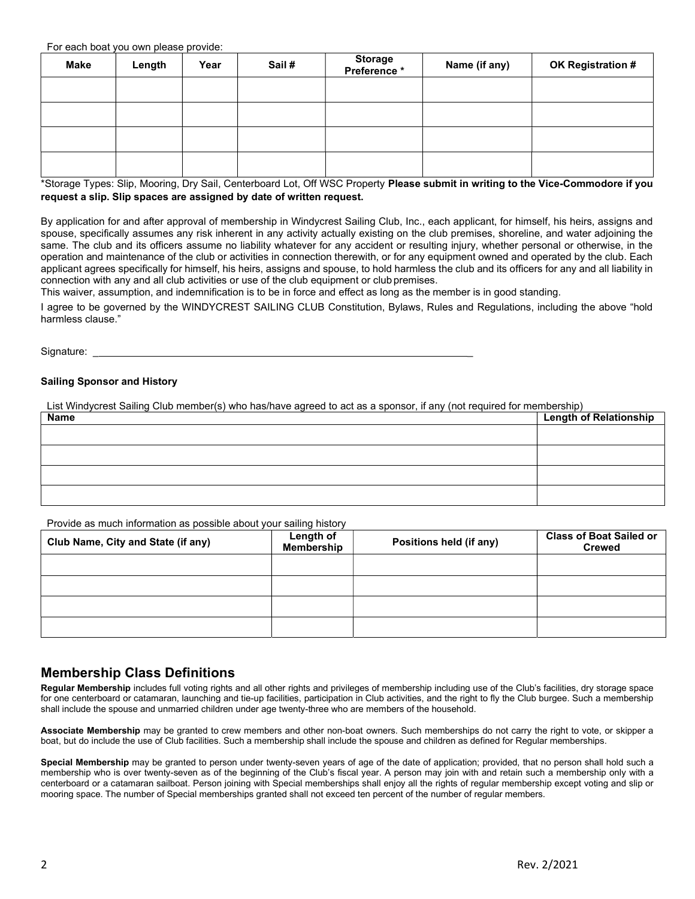For each boat you own please provide:

| Make | Length | Year | Sail# | Storage<br>* Preference | Name (if any) | OK Registration # |  |
|------|--------|------|-------|-------------------------|---------------|-------------------|--|
|      |        |      |       |                         |               |                   |  |
|      |        |      |       |                         |               |                   |  |
|      |        |      |       |                         |               |                   |  |
|      |        |      |       |                         |               |                   |  |

\*Storage Types: Slip, Mooring, Dry Sail, Centerboard Lot, Off WSC Property Please submit in writing to the Vice-Commodore if you request a slip. Slip spaces are assigned by date of written request.

By application for and after approval of membership in Windycrest Sailing Club, Inc., each applicant, for himself, his heirs, assigns and spouse, specifically assumes any risk inherent in any activity actually existing on the club premises, shoreline, and water adjoining the same. The club and its officers assume no liability whatever for any accident or resulting injury, whether personal or otherwise, in the operation and maintenance of the club or activities in connection therewith, or for any equipment owned and operated by the club. Each applicant agrees specifically for himself, his heirs, assigns and spouse, to hold harmless the club and its officers for any and all liability in connection with any and all club activities or use of the club equipment or club premises.

This waiver, assumption, and indemnification is to be in force and effect as long as the member is in good standing.

I agree to be governed by the WINDYCREST SAILING CLUB Constitution, Bylaws, Rules and Regulations, including the above "hold harmless clause."

Signature: \_\_\_\_\_\_

#### Sailing Sponsor and History

List Windycrest Sailing Club member(s) who has/have agreed to act as a sponsor, if any (not required for membership)

| Name | <b>Length of Relationship</b> |
|------|-------------------------------|
|      |                               |
|      |                               |
|      |                               |
|      |                               |

Provide as much information as possible about your sailing history

| Club Name, City and State (if any) | Length of<br>Membership | Positions held (if any) | <b>Class of Boat Sailed or</b><br><b>Crewed</b> |
|------------------------------------|-------------------------|-------------------------|-------------------------------------------------|
|                                    |                         |                         |                                                 |
|                                    |                         |                         |                                                 |
|                                    |                         |                         |                                                 |
|                                    |                         |                         |                                                 |

# Membership Class Definitions

Regular Membership includes full voting rights and all other rights and privileges of membership including use of the Club's facilities, dry storage space for one centerboard or catamaran, launching and tie-up facilities, participation in Club activities, and the right to fly the Club burgee. Such a membership shall include the spouse and unmarried children under age twenty-three who are members of the household.

Associate Membership may be granted to crew members and other non-boat owners. Such memberships do not carry the right to vote, or skipper a boat, but do include the use of Club facilities. Such a membership shall include the spouse and children as defined for Regular memberships.

Special Membership may be granted to person under twenty-seven years of age of the date of application; provided, that no person shall hold such a membership who is over twenty-seven as of the beginning of the Club's fiscal year. A person may join with and retain such a membership only with a centerboard or a catamaran sailboat. Person joining with Special memberships shall enjoy all the rights of regular membership except voting and slip or mooring space. The number of Special memberships granted shall not exceed ten percent of the number of regular members.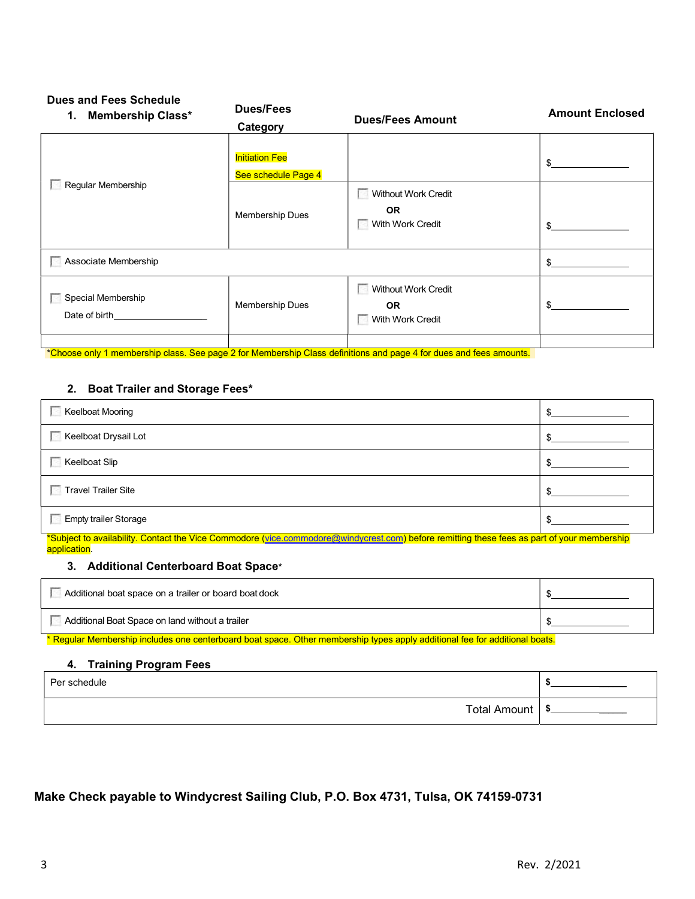# Dues and Fees Schedule

| <b>Membership Class*</b><br>1.      | <b>Dues/Fees</b><br>Category                 | <b>Dues/Fees Amount</b>                              | <b>Amount Enclosed</b> |
|-------------------------------------|----------------------------------------------|------------------------------------------------------|------------------------|
|                                     | <b>Initiation Fee</b><br>See schedule Page 4 |                                                      | $\mathbb{S}$           |
| Regular Membership                  | Membership Dues                              | Without Work Credit<br><b>OR</b><br>With Work Credit | \$                     |
| Associate Membership                |                                              |                                                      | \$                     |
| Special Membership<br>Date of birth | Membership Dues                              | Without Work Credit<br><b>OR</b><br>With Work Credit | $\mathbb{S}$           |
|                                     |                                              |                                                      |                        |

\*Choose only 1 membership class. See page 2 for Membership Class definitions and page 4 for dues and fees amounts.

### 2. Boat Trailer and Storage Fees\*

| <b>Keelboat Mooring</b>                                                                                                                                | \$. |
|--------------------------------------------------------------------------------------------------------------------------------------------------------|-----|
| Keelboat Drysail Lot                                                                                                                                   |     |
| <b>Keelboat Slip</b>                                                                                                                                   |     |
| <b>Travel Trailer Site</b>                                                                                                                             | ₼   |
| <b>Empty trailer Storage</b><br><u>source are original and the contract of the contract of the contract of the contract of the contract of the con</u> |     |

\*Subject to availability. Contact the Vice Commodore (vice.commodore@windycrest.com) before remitting these fees as part of your membership application.

#### 3. Additional Centerboard Boat Space\*

| Additional boat space on a trailer or board boat dock |  |
|-------------------------------------------------------|--|
| Additional Boat Space on land without a trailer       |  |

\* Regular Membership includes one centerboard boat space. Other membership types apply additional fee for additional boats.

#### 4. Training Program Fees

| Per schedule        |  |
|---------------------|--|
| <b>Total Amount</b> |  |

Make Check payable to Windycrest Sailing Club, P.O. Box 4731, Tulsa, OK 74159-0731